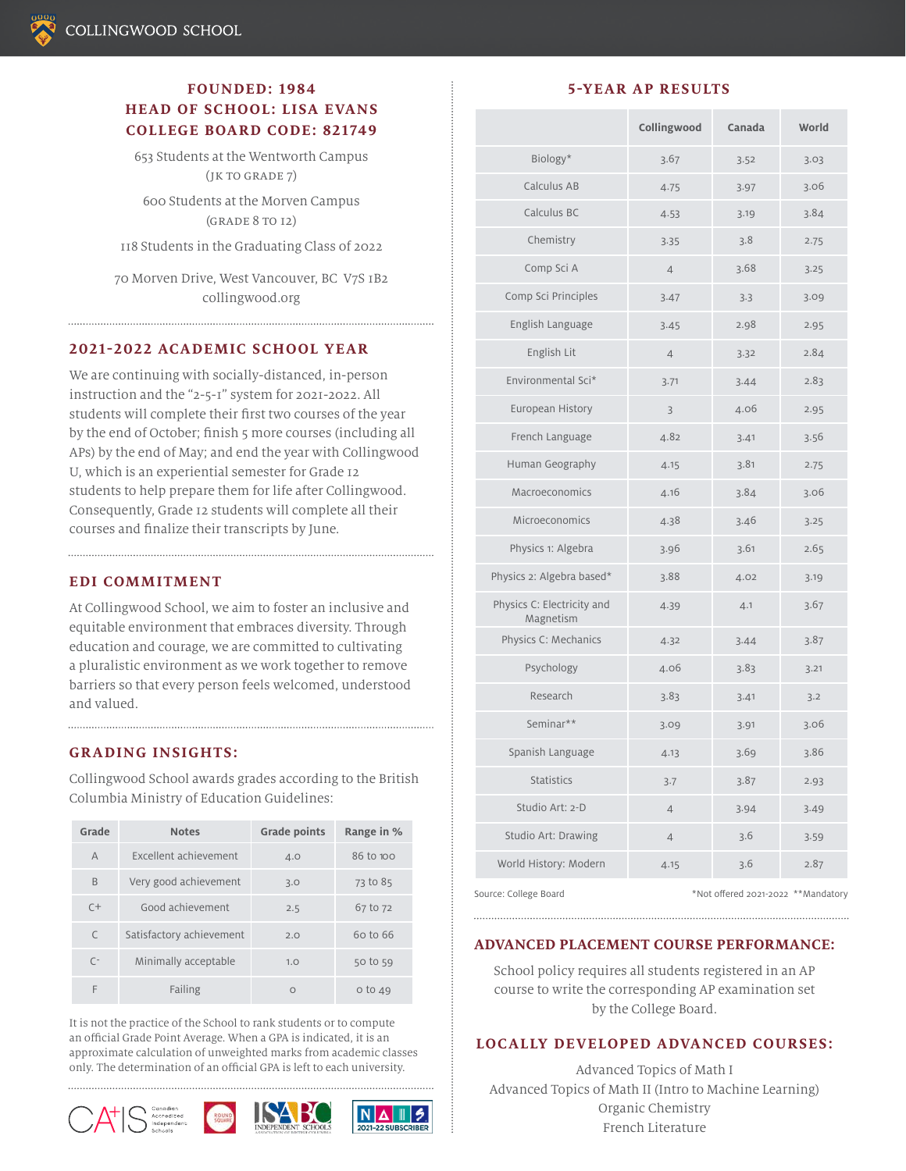# **FOUNDED: 1984 HEAD OF SCHOOL: LISA EVANS COLLEGE BOARD CODE: 821749**

653 Students at the Wentworth Campus (jk to grade 7)

600 Students at the Morven Campus (grade 8 to 12)

118 Students in the Graduating Class of 2022

70 Morven Drive, West Vancouver, BC V7S 1B2 collingwood.org

#### **2021-2022 ACADEMIC SCHOOL YEAR**

We are continuing with socially-distanced, in-person instruction and the "2-5-1" system for 2021-2022. All students will complete their first two courses of the year by the end of October; finish 5 more courses (including all APs) by the end of May; and end the year with Collingwood U, which is an experiential semester for Grade 12 students to help prepare them for life after Collingwood. Consequently, Grade 12 students will complete all their courses and finalize their transcripts by June.

#### **EDI COMMITMENT**

At Collingwood School, we aim to foster an inclusive and equitable environment that embraces diversity. Through education and courage, we are committed to cultivating a pluralistic environment as we work together to remove barriers so that every person feels welcomed, understood and valued.

#### **GRADING INSIGHTS:**

Collingwood School awards grades according to the British Columbia Ministry of Education Guidelines:

| Grade          | <b>Notes</b>             | <b>Grade points</b> | Range in %  |
|----------------|--------------------------|---------------------|-------------|
| $\overline{A}$ | Excellent achievement    | 4.0                 | 86 to 100   |
| B              | Very good achievement    | 3.0                 | 73 to 85    |
| $C+$           | Good achievement         | 2.5                 | 67 to 72    |
| $\subset$      | Satisfactory achievement | 2.0                 | 60 to 66    |
| $\sqrt{ }$     | Minimally acceptable     | 1.0                 | 50 to 59    |
| F              | Failing                  | $\Omega$            | $0$ to $49$ |

It is not the practice of the School to rank students or to compute an official Grade Point Average. When a GPA is indicated, it is an approximate calculation of unweighted marks from academic classes only. The determination of an official GPA is left to each university.







#### **5-YEAR AP RESULTS**

|                                         | Collingwood    | Canada | World |
|-----------------------------------------|----------------|--------|-------|
| Biology*                                | 3.67           | 3.52   | 3.03  |
| Calculus AB                             | 4.75           | 3.97   | 3.06  |
| Calculus BC                             | 4.53           | 3.19   | 3.84  |
| Chemistry                               | 3.35           | 3.8    | 2.75  |
| Comp Sci A                              | $\overline{4}$ | 3.68   | 3.25  |
| Comp Sci Principles                     | 3.47           | 3.3    | 3.09  |
| English Language                        | 3.45           | 2.98   | 2.95  |
| English Lit                             | $\overline{4}$ | 3.32   | 2.84  |
| Environmental Sci*                      | 3.71           | 3.44   | 2.83  |
| European History                        | 3              | 4.06   | 2.95  |
| French Language                         | 4.82           | 3.41   | 3.56  |
| Human Geography                         | 4.15           | 3.81   | 2.75  |
| Macroeconomics                          | 4.16           | 3.84   | 3.06  |
| Microeconomics                          | 4.38           | 3.46   | 3.25  |
| Physics 1: Algebra                      | 3.96           | 3.61   | 2.65  |
| Physics 2: Algebra based*               | 3.88           | 4.02   | 3.19  |
| Physics C: Electricity and<br>Magnetism | 4.39           | 4.1    | 3.67  |
| Physics C: Mechanics                    | 4.32           | 3.44   | 3.87  |
| Psychology                              | 4.06           | 3.83   | 3.21  |
| Research                                | 3.83           | 3.41   | 3.2   |
| Seminar**                               | 3.09           | 3.91   | 3.06  |
| Spanish Language                        | 4.13           | 3.69   | 3.86  |
| <b>Statistics</b>                       | 3.7            | 3.87   | 2.93  |
| Studio Art: 2-D                         | $\overline{4}$ | 3.94   | 3.49  |
| Studio Art: Drawing                     | $\overline{4}$ | 3.6    | 3.59  |
| World History: Modern                   | 4.15           | 3.6    | 2.87  |

Source: College Board \*Not offered 2021-2022 \*\*Mandatory

# **ADVANCED PLACEMENT COURSE PERFORMANCE:**

School policy requires all students registered in an AP course to write the corresponding AP examination set by the College Board.

### **LOCALLY DEVELOPED ADVANCED COURSES:**

Advanced Topics of Math I Advanced Topics of Math II (Intro to Machine Learning) Organic Chemistry French Literature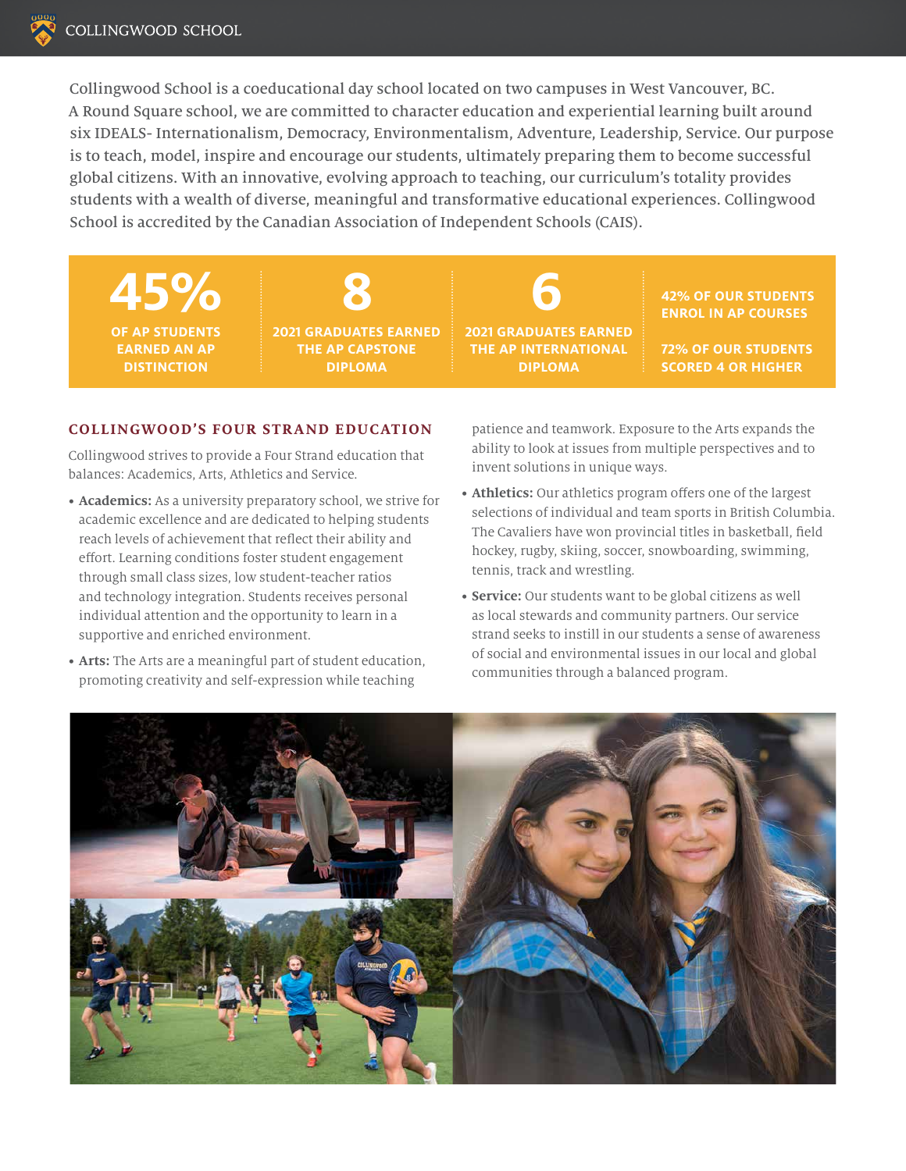Collingwood School is a coeducational day school located on two campuses in West Vancouver, BC. A Round Square school, we are committed to character education and experiential learning built around six IDEALS- Internationalism, Democracy, Environmentalism, Adventure, Leadership, Service. Our purpose is to teach, model, inspire and encourage our students, ultimately preparing them to become successful global citizens. With an innovative, evolving approach to teaching, our curriculum's totality provides students with a wealth of diverse, meaningful and transformative educational experiences. Collingwood School is accredited by the Canadian Association of Independent Schools (CAIS).

**45% 8 6 OF AP STUDENTS EARNED AN AP DISTINCTION**

**2021 GRADUATES EARNED THE AP CAPSTONE DIPLOMA**

**2021 GRADUATES EARNED THE AP INTERNATIONAL DIPLOMA**

**42% OF OUR STUDENTS ENROL IN AP COURSES**

**72% OF OUR STUDENTS SCORED 4 OR HIGHER**

# **COLLINGWOOD'S FOUR STRAND EDUCATION**

Collingwood strives to provide a Four Strand education that balances: Academics, Arts, Athletics and Service.

- **• Academics:** As a university preparatory school, we strive for academic excellence and are dedicated to helping students reach levels of achievement that reflect their ability and effort. Learning conditions foster student engagement through small class sizes, low student-teacher ratios and technology integration. Students receives personal individual attention and the opportunity to learn in a supportive and enriched environment.
- **• Arts:** The Arts are a meaningful part of student education, promoting creativity and self-expression while teaching

patience and teamwork. Exposure to the Arts expands the ability to look at issues from multiple perspectives and to invent solutions in unique ways.

- **• Athletics:** Our athletics program offers one of the largest selections of individual and team sports in British Columbia. The Cavaliers have won provincial titles in basketball, field hockey, rugby, skiing, soccer, snowboarding, swimming, tennis, track and wrestling.
- **• Service:** Our students want to be global citizens as well as local stewards and community partners. Our service strand seeks to instill in our students a sense of awareness of social and environmental issues in our local and global communities through a balanced program.